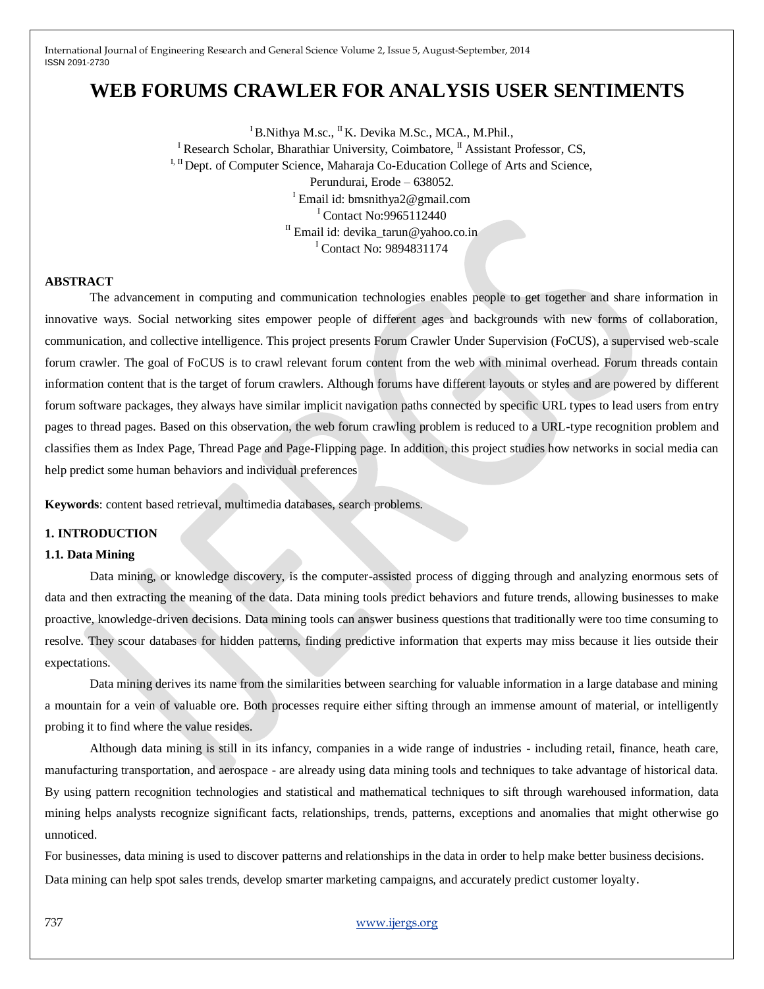# **WEB FORUMS CRAWLER FOR ANALYSIS USER SENTIMENTS**

 $I<sub>B</sub>$ Nithya M.sc., <sup>II</sup>K. Devika M.Sc., MCA., M.Phil., <sup>I</sup> Research Scholar, Bharathiar University, Coimbatore,  $^{\text{II}}$  Assistant Professor, CS, I, II Dept. of Computer Science, Maharaja Co-Education College of Arts and Science, Perundurai, Erode – 638052. <sup>I</sup> Email id: bmsnithya2@gmail.com <sup>I</sup> Contact No:9965112440  $I<sup>II</sup>$  Email id: devika\_tarun@yahoo.co.in <sup>I</sup> Contact No: 9894831174

### **ABSTRACT**

The advancement in computing and communication technologies enables people to get together and share information in innovative ways. Social networking sites empower people of different ages and backgrounds with new forms of collaboration, communication, and collective intelligence. This project presents Forum Crawler Under Supervision (FoCUS), a supervised web-scale forum crawler. The goal of FoCUS is to crawl relevant forum content from the web with minimal overhead. Forum threads contain information content that is the target of forum crawlers. Although forums have different layouts or styles and are powered by different forum software packages, they always have similar implicit navigation paths connected by specific URL types to lead users from entry pages to thread pages. Based on this observation, the web forum crawling problem is reduced to a URL-type recognition problem and classifies them as Index Page, Thread Page and Page-Flipping page. In addition, this project studies how networks in social media can help predict some human behaviors and individual preferences

**Keywords**: content based retrieval, multimedia databases, search problems*.*

#### **1. INTRODUCTION**

### **1.1. Data Mining**

Data mining, or knowledge discovery, is the computer-assisted process of digging through and analyzing enormous sets of data and then extracting the meaning of the data. Data mining tools predict behaviors and future trends, allowing businesses to make proactive, knowledge-driven decisions. Data mining tools can answer business questions that traditionally were too time consuming to resolve. They scour databases for hidden patterns, finding predictive information that experts may miss because it lies outside their expectations.

Data mining derives its name from the similarities between searching for valuable information in a large database and mining a mountain for a vein of valuable ore. Both processes require either sifting through an immense amount of material, or intelligently probing it to find where the value resides.

Although data mining is still in its infancy, companies in a wide range of industries - including retail, finance, heath care, manufacturing transportation, and aerospace - are already using data mining tools and techniques to take advantage of historical data. By using pattern recognition technologies and statistical and mathematical techniques to sift through warehoused information, data mining helps analysts recognize significant facts, relationships, trends, patterns, exceptions and anomalies that might otherwise go unnoticed.

For businesses, data mining is used to discover patterns and relationships in the data in order to help make better business decisions. Data mining can help spot sales trends, develop smarter marketing campaigns, and accurately predict customer loyalty.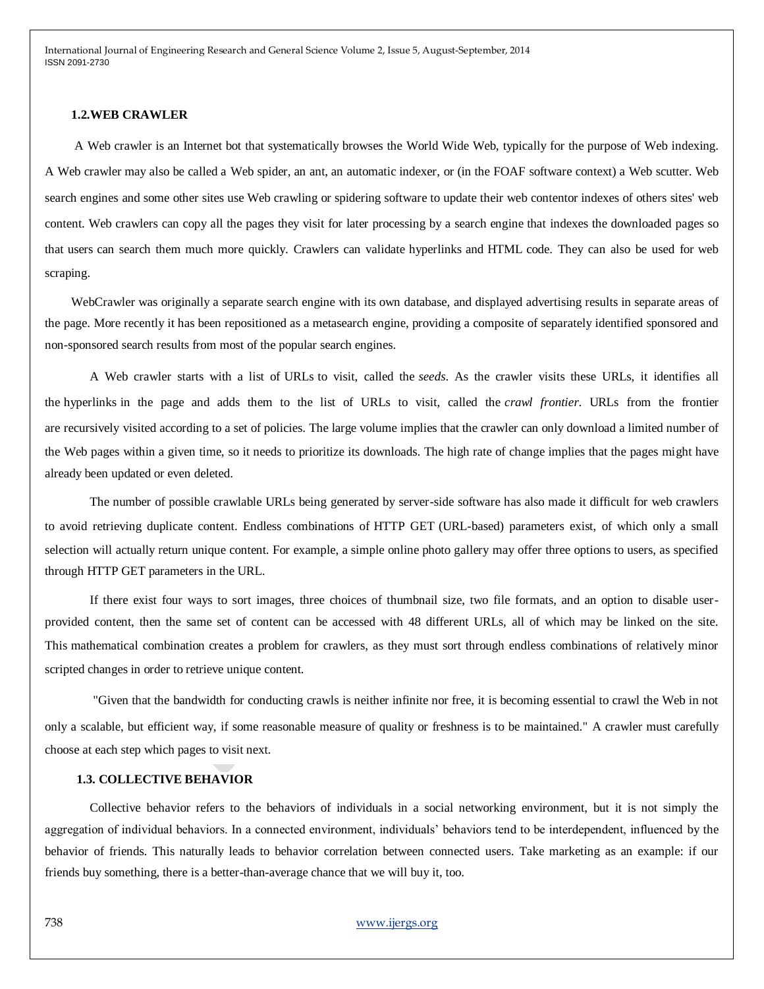#### **1.2.WEB CRAWLER**

A Web crawler is an Internet bot that systematically browses the World Wide Web, typically for the purpose of Web indexing. A Web crawler may also be called a Web spider, an ant, an automatic indexer, or (in the FOAF software context) a Web scutter. Web search engines and some other sites use Web crawling or spidering software to update their web contentor indexes of others sites' web content. Web crawlers can copy all the pages they visit for later processing by a search engine that indexes the downloaded pages so that users can search them much more quickly. Crawlers can validate hyperlinks and HTML code. They can also be used for web scraping.

WebCrawler was originally a separate search engine with its own database, and displayed advertising results in separate areas of the page. More recently it has been repositioned as a metasearch engine, providing a composite of separately identified sponsored and non-sponsored search results from most of the popular search engines.

A Web crawler starts with a list of URLs to visit, called the *seeds*. As the crawler visits these URLs, it identifies all the hyperlinks in the page and adds them to the list of URLs to visit, called the *crawl frontier*. URLs from the frontier are recursively visited according to a set of policies. The large volume implies that the crawler can only download a limited number of the Web pages within a given time, so it needs to prioritize its downloads. The high rate of change implies that the pages might have already been updated or even deleted.

The number of possible crawlable URLs being generated by server-side software has also made it difficult for web crawlers to avoid retrieving duplicate content. Endless combinations of HTTP GET (URL-based) parameters exist, of which only a small selection will actually return unique content. For example, a simple online photo gallery may offer three options to users, as specified through HTTP GET parameters in the URL.

If there exist four ways to sort images, three choices of thumbnail size, two file formats, and an option to disable userprovided content, then the same set of content can be accessed with 48 different URLs, all of which may be linked on the site. This mathematical combination creates a problem for crawlers, as they must sort through endless combinations of relatively minor scripted changes in order to retrieve unique content.

"Given that the bandwidth for conducting crawls is neither infinite nor free, it is becoming essential to crawl the Web in not only a scalable, but efficient way, if some reasonable measure of quality or freshness is to be maintained." A crawler must carefully choose at each step which pages to visit next.

#### **1.3. COLLECTIVE BEHAVIOR**

Collective behavior refers to the behaviors of individuals in a social networking environment, but it is not simply the aggregation of individual behaviors. In a connected environment, individuals" behaviors tend to be interdependent, influenced by the behavior of friends. This naturally leads to behavior correlation between connected users. Take marketing as an example: if our friends buy something, there is a better-than-average chance that we will buy it, too.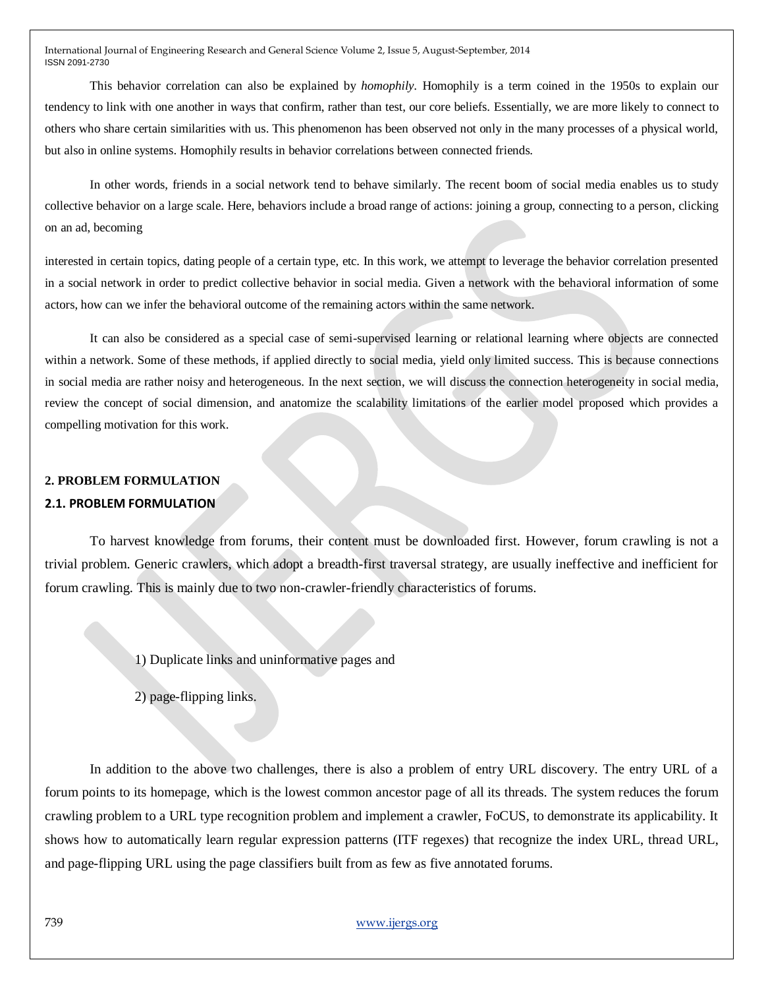This behavior correlation can also be explained by *homophily.* Homophily is a term coined in the 1950s to explain our tendency to link with one another in ways that confirm, rather than test, our core beliefs. Essentially, we are more likely to connect to others who share certain similarities with us. This phenomenon has been observed not only in the many processes of a physical world, but also in online systems. Homophily results in behavior correlations between connected friends.

In other words, friends in a social network tend to behave similarly. The recent boom of social media enables us to study collective behavior on a large scale. Here, behaviors include a broad range of actions: joining a group, connecting to a person, clicking on an ad, becoming

interested in certain topics, dating people of a certain type, etc. In this work, we attempt to leverage the behavior correlation presented in a social network in order to predict collective behavior in social media. Given a network with the behavioral information of some actors, how can we infer the behavioral outcome of the remaining actors within the same network.

It can also be considered as a special case of semi-supervised learning or relational learning where objects are connected within a network. Some of these methods, if applied directly to social media, yield only limited success. This is because connections in social media are rather noisy and heterogeneous. In the next section, we will discuss the connection heterogeneity in social media, review the concept of social dimension, and anatomize the scalability limitations of the earlier model proposed which provides a compelling motivation for this work.

# **2. PROBLEM FORMULATION 2.1. PROBLEM FORMULATION**

To harvest knowledge from forums, their content must be downloaded first. However, forum crawling is not a trivial problem. Generic crawlers, which adopt a breadth-first traversal strategy, are usually ineffective and inefficient for forum crawling. This is mainly due to two non-crawler-friendly characteristics of forums.

1) Duplicate links and uninformative pages and

2) page-flipping links.

In addition to the above two challenges, there is also a problem of entry URL discovery. The entry URL of a forum points to its homepage, which is the lowest common ancestor page of all its threads. The system reduces the forum crawling problem to a URL type recognition problem and implement a crawler, FoCUS, to demonstrate its applicability. It shows how to automatically learn regular expression patterns (ITF regexes) that recognize the index URL, thread URL, and page-flipping URL using the page classifiers built from as few as five annotated forums.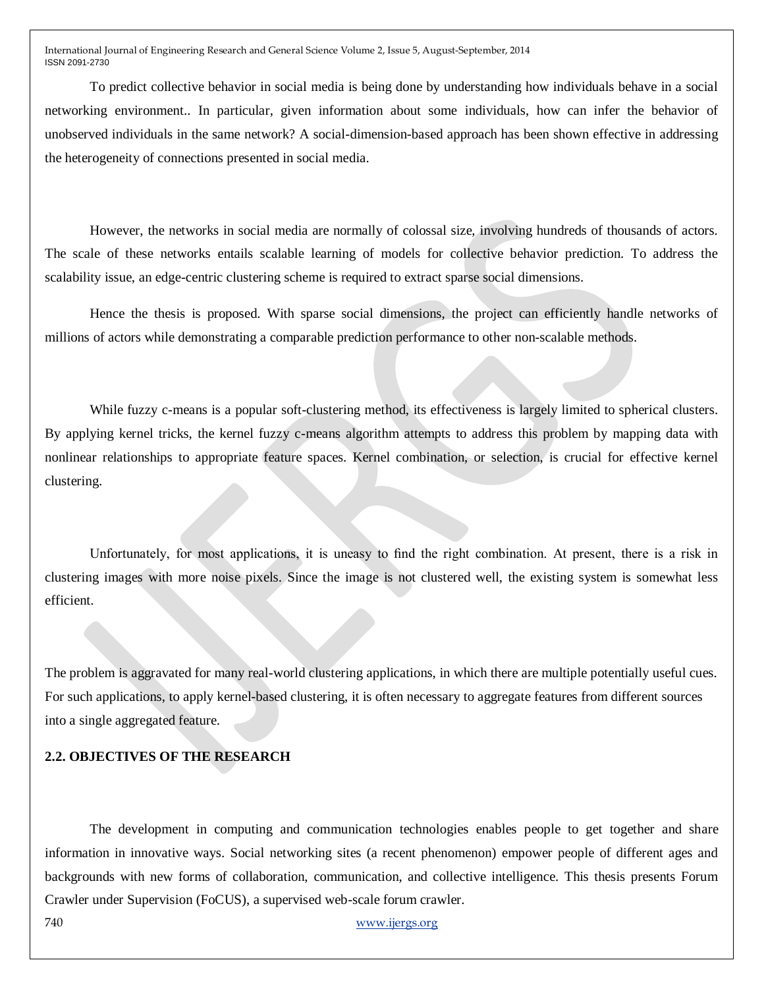To predict collective behavior in social media is being done by understanding how individuals behave in a social networking environment.. In particular, given information about some individuals, how can infer the behavior of unobserved individuals in the same network? A social-dimension-based approach has been shown effective in addressing the heterogeneity of connections presented in social media.

However, the networks in social media are normally of colossal size, involving hundreds of thousands of actors. The scale of these networks entails scalable learning of models for collective behavior prediction. To address the scalability issue, an edge-centric clustering scheme is required to extract sparse social dimensions.

Hence the thesis is proposed. With sparse social dimensions, the project can efficiently handle networks of millions of actors while demonstrating a comparable prediction performance to other non-scalable methods.

While fuzzy c-means is a popular soft-clustering method, its effectiveness is largely limited to spherical clusters. By applying kernel tricks, the kernel fuzzy c-means algorithm attempts to address this problem by mapping data with nonlinear relationships to appropriate feature spaces. Kernel combination, or selection, is crucial for effective kernel clustering.

Unfortunately, for most applications, it is uneasy to find the right combination. At present, there is a risk in clustering images with more noise pixels. Since the image is not clustered well, the existing system is somewhat less efficient.

The problem is aggravated for many real-world clustering applications, in which there are multiple potentially useful cues. For such applications, to apply kernel-based clustering, it is often necessary to aggregate features from different sources into a single aggregated feature.

# **2.2. OBJECTIVES OF THE RESEARCH**

The development in computing and communication technologies enables people to get together and share information in innovative ways. Social networking sites (a recent phenomenon) empower people of different ages and backgrounds with new forms of collaboration, communication, and collective intelligence. This thesis presents Forum Crawler under Supervision (FoCUS), a supervised web-scale forum crawler.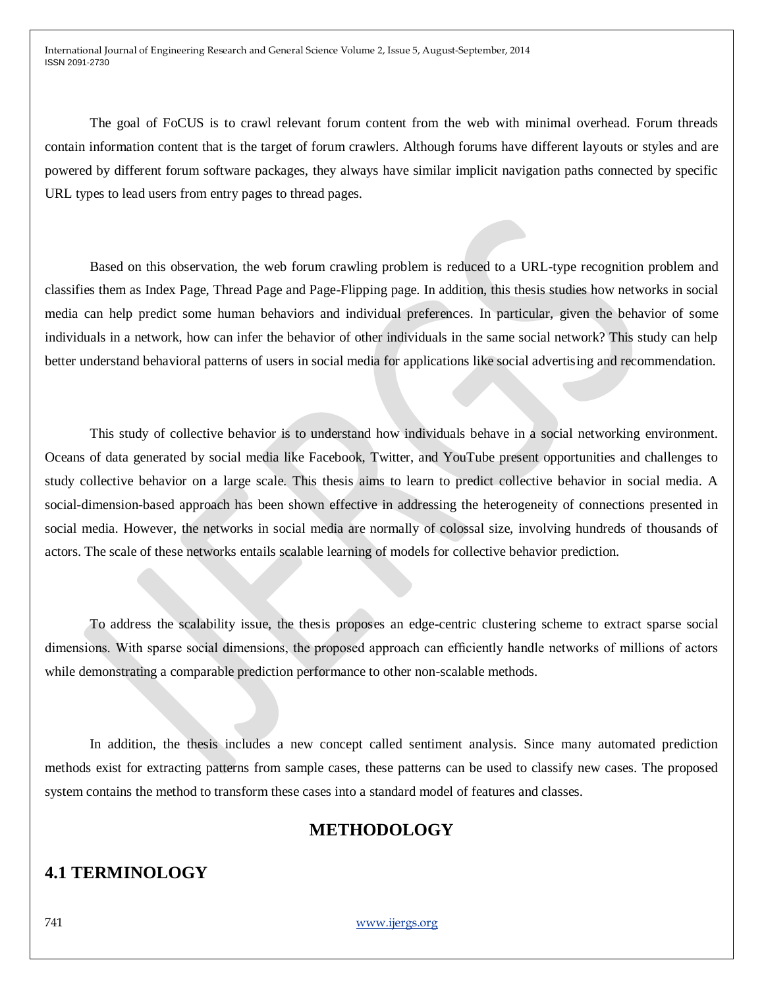The goal of FoCUS is to crawl relevant forum content from the web with minimal overhead. Forum threads contain information content that is the target of forum crawlers. Although forums have different layouts or styles and are powered by different forum software packages, they always have similar implicit navigation paths connected by specific URL types to lead users from entry pages to thread pages.

Based on this observation, the web forum crawling problem is reduced to a URL-type recognition problem and classifies them as Index Page, Thread Page and Page-Flipping page. In addition, this thesis studies how networks in social media can help predict some human behaviors and individual preferences. In particular, given the behavior of some individuals in a network, how can infer the behavior of other individuals in the same social network? This study can help better understand behavioral patterns of users in social media for applications like social advertising and recommendation.

This study of collective behavior is to understand how individuals behave in a social networking environment. Oceans of data generated by social media like Facebook, Twitter, and YouTube present opportunities and challenges to study collective behavior on a large scale. This thesis aims to learn to predict collective behavior in social media. A social-dimension-based approach has been shown effective in addressing the heterogeneity of connections presented in social media. However, the networks in social media are normally of colossal size, involving hundreds of thousands of actors. The scale of these networks entails scalable learning of models for collective behavior prediction.

To address the scalability issue, the thesis proposes an edge-centric clustering scheme to extract sparse social dimensions. With sparse social dimensions, the proposed approach can efficiently handle networks of millions of actors while demonstrating a comparable prediction performance to other non-scalable methods.

In addition, the thesis includes a new concept called sentiment analysis. Since many automated prediction methods exist for extracting patterns from sample cases, these patterns can be used to classify new cases. The proposed system contains the method to transform these cases into a standard model of features and classes.

# **METHODOLOGY**

# **4.1 TERMINOLOGY**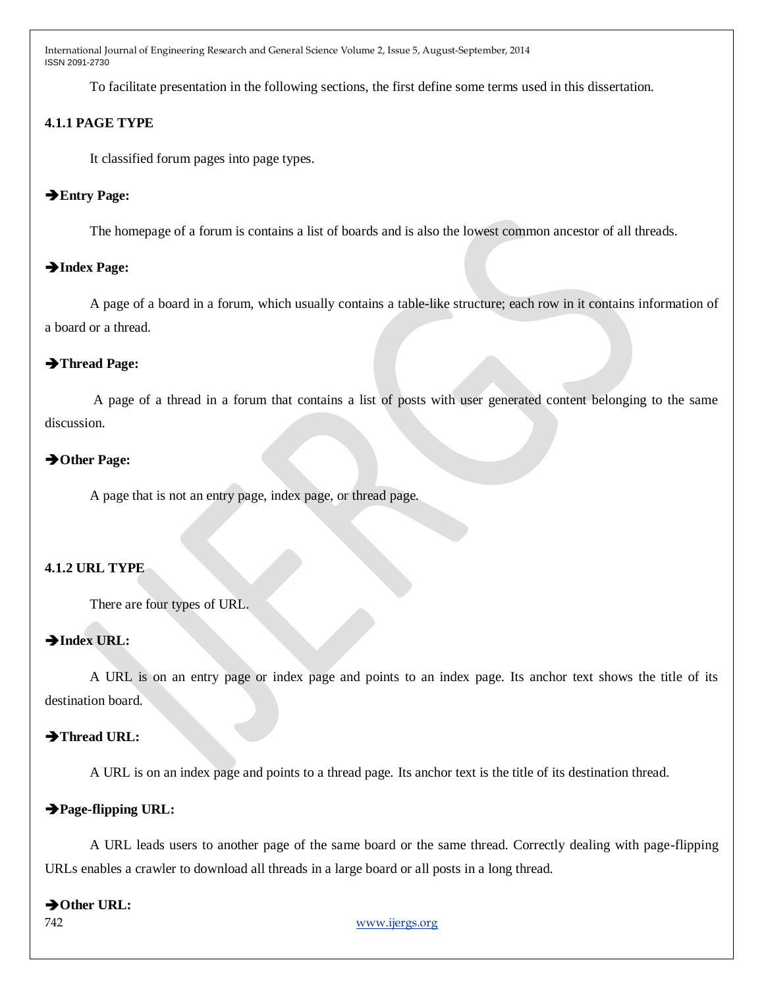To facilitate presentation in the following sections, the first define some terms used in this dissertation.

# **4.1.1 PAGE TYPE**

It classified forum pages into page types.

## **Entry Page:**

The homepage of a forum is contains a list of boards and is also the lowest common ancestor of all threads.

# **Index Page:**

A page of a board in a forum, which usually contains a table-like structure; each row in it contains information of a board or a thread.

## **Thread Page:**

A page of a thread in a forum that contains a list of posts with user generated content belonging to the same discussion.

# → Other Page:

A page that is not an entry page, index page, or thread page.

### **4.1.2 URL TYPE**

There are four types of URL.

# $\rightarrow$  Index URL:

A URL is on an entry page or index page and points to an index page. Its anchor text shows the title of its destination board.

# Thread URL:

A URL is on an index page and points to a thread page. Its anchor text is the title of its destination thread.

# **Page-flipping URL:**

A URL leads users to another page of the same board or the same thread. Correctly dealing with page-flipping URLs enables a crawler to download all threads in a large board or all posts in a long thread.

## → Other URL: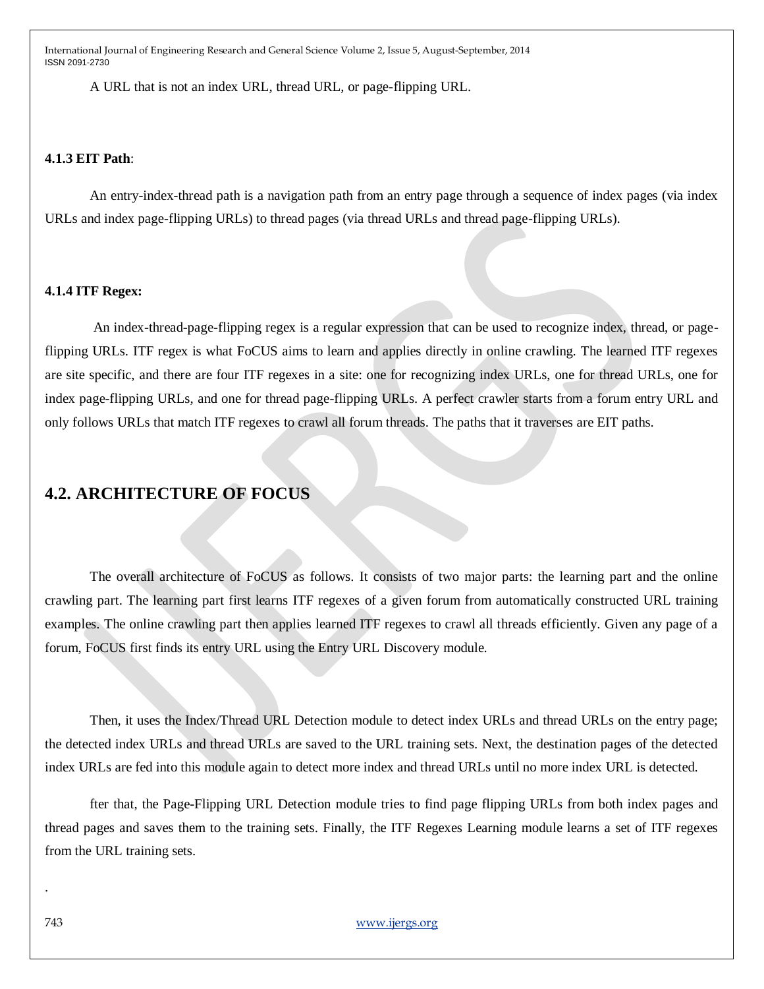A URL that is not an index URL, thread URL, or page-flipping URL.

## **4.1.3 EIT Path**:

An entry-index-thread path is a navigation path from an entry page through a sequence of index pages (via index URLs and index page-flipping URLs) to thread pages (via thread URLs and thread page-flipping URLs).

## **4.1.4 ITF Regex:**

An index-thread-page-flipping regex is a regular expression that can be used to recognize index, thread, or pageflipping URLs. ITF regex is what FoCUS aims to learn and applies directly in online crawling. The learned ITF regexes are site specific, and there are four ITF regexes in a site: one for recognizing index URLs, one for thread URLs, one for index page-flipping URLs, and one for thread page-flipping URLs. A perfect crawler starts from a forum entry URL and only follows URLs that match ITF regexes to crawl all forum threads. The paths that it traverses are EIT paths.

# **4.2. ARCHITECTURE OF FOCUS**

The overall architecture of FoCUS as follows. It consists of two major parts: the learning part and the online crawling part. The learning part first learns ITF regexes of a given forum from automatically constructed URL training examples. The online crawling part then applies learned ITF regexes to crawl all threads efficiently. Given any page of a forum, FoCUS first finds its entry URL using the Entry URL Discovery module.

Then, it uses the Index/Thread URL Detection module to detect index URLs and thread URLs on the entry page; the detected index URLs and thread URLs are saved to the URL training sets. Next, the destination pages of the detected index URLs are fed into this module again to detect more index and thread URLs until no more index URL is detected.

fter that, the Page-Flipping URL Detection module tries to find page flipping URLs from both index pages and thread pages and saves them to the training sets. Finally, the ITF Regexes Learning module learns a set of ITF regexes from the URL training sets.

.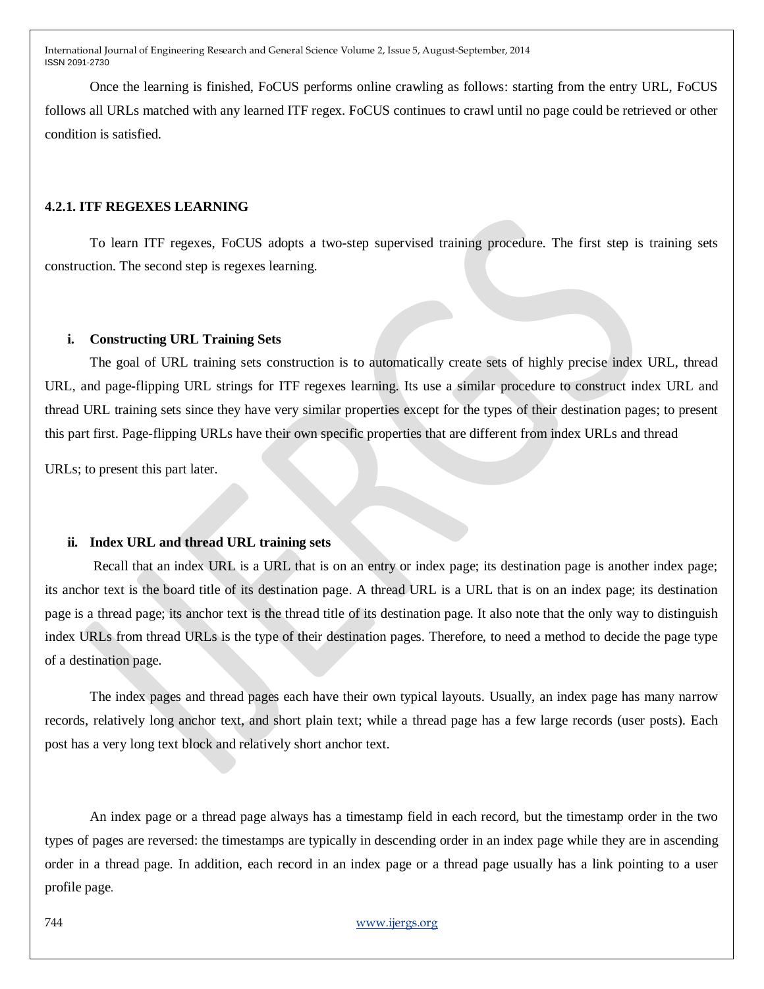Once the learning is finished, FoCUS performs online crawling as follows: starting from the entry URL, FoCUS follows all URLs matched with any learned ITF regex. FoCUS continues to crawl until no page could be retrieved or other condition is satisfied.

# **4.2.1. ITF REGEXES LEARNING**

To learn ITF regexes, FoCUS adopts a two-step supervised training procedure. The first step is training sets construction. The second step is regexes learning.

### **i. Constructing URL Training Sets**

The goal of URL training sets construction is to automatically create sets of highly precise index URL, thread URL, and page-flipping URL strings for ITF regexes learning. Its use a similar procedure to construct index URL and thread URL training sets since they have very similar properties except for the types of their destination pages; to present this part first. Page-flipping URLs have their own specific properties that are different from index URLs and thread

URLs; to present this part later.

## **ii. Index URL and thread URL training sets**

Recall that an index URL is a URL that is on an entry or index page; its destination page is another index page; its anchor text is the board title of its destination page. A thread URL is a URL that is on an index page; its destination page is a thread page; its anchor text is the thread title of its destination page. It also note that the only way to distinguish index URLs from thread URLs is the type of their destination pages. Therefore, to need a method to decide the page type of a destination page.

The index pages and thread pages each have their own typical layouts. Usually, an index page has many narrow records, relatively long anchor text, and short plain text; while a thread page has a few large records (user posts). Each post has a very long text block and relatively short anchor text.

An index page or a thread page always has a timestamp field in each record, but the timestamp order in the two types of pages are reversed: the timestamps are typically in descending order in an index page while they are in ascending order in a thread page. In addition, each record in an index page or a thread page usually has a link pointing to a user profile page.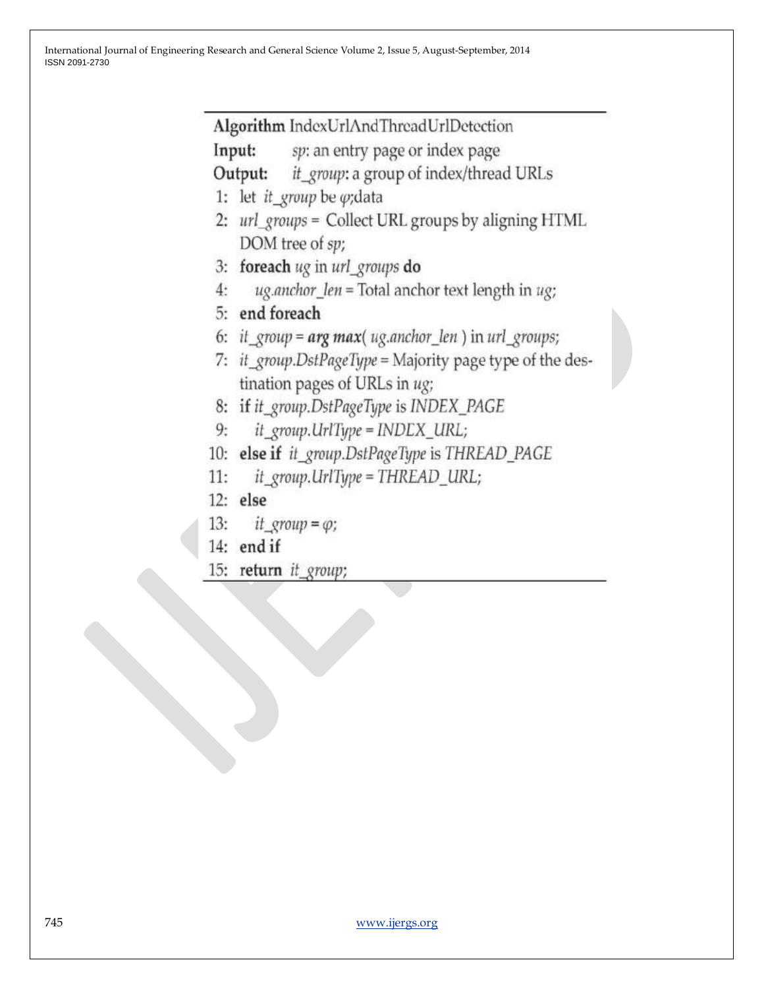Algorithm IndexUrlAndThreadUrlDetection

Input: sp: an entry page or index page

it\_group: a group of index/thread URLs Output:

- 1: let it\_group be  $\varphi$ ; data
- 2: url\_groups = Collect URL groups by aligning HTML DOM tree of sp;
- 3: foreach ug in url groups do
- ug.anchor\_len = Total anchor text length in ug;  $4:$
- 5: end foreach
- 6: it group =  $arg max( uq. anchor len )$  in url groups;
- 7: it\_group.DstPageType = Majority page type of the destination pages of URLs in ug;
- 8: if it\_group.DstPageType is INDEX\_PAGE
- it\_group.UrlType = INDEX\_URL; 9:
- 10: else if it\_group.DstPageType is THREAD\_PAGE
- it\_group.UrlType = THREAD\_URL;  $11:$
- $12:$  else
- $13:$ it\_group =  $\varphi$ ;
- 14: end if
- 15: return it\_group;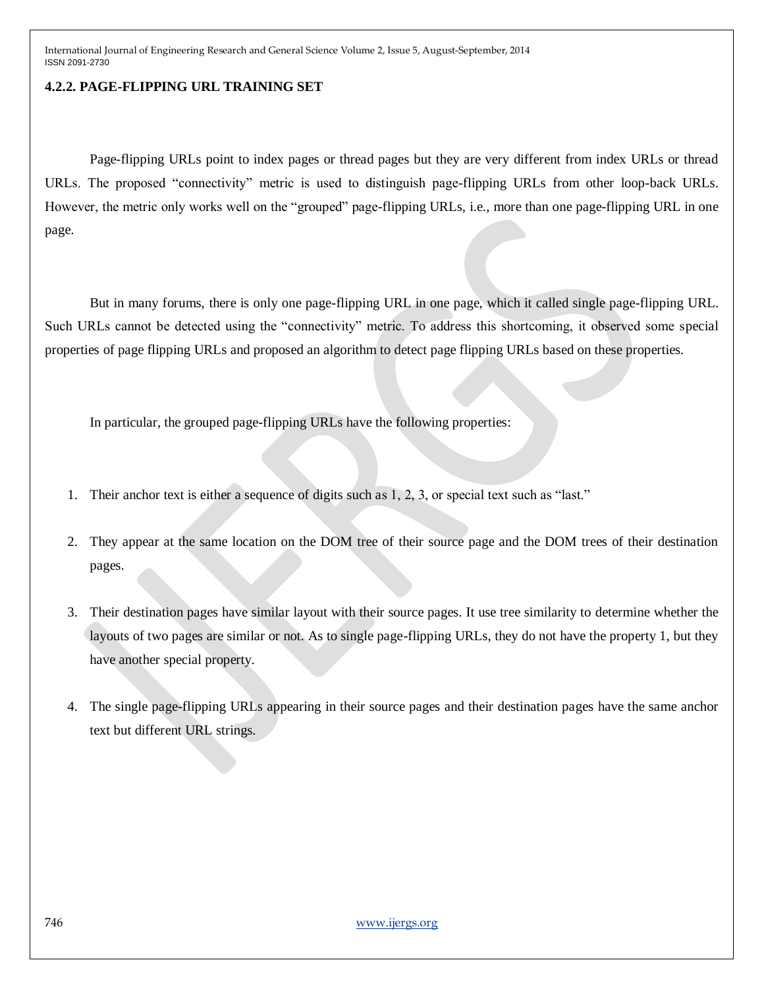# **4.2.2. PAGE-FLIPPING URL TRAINING SET**

Page-flipping URLs point to index pages or thread pages but they are very different from index URLs or thread URLs. The proposed "connectivity" metric is used to distinguish page-flipping URLs from other loop-back URLs. However, the metric only works well on the "grouped" page-flipping URLs, i.e., more than one page-flipping URL in one page.

But in many forums, there is only one page-flipping URL in one page, which it called single page-flipping URL. Such URLs cannot be detected using the "connectivity" metric. To address this shortcoming, it observed some special properties of page flipping URLs and proposed an algorithm to detect page flipping URLs based on these properties.

In particular, the grouped page-flipping URLs have the following properties:

- 1. Their anchor text is either a sequence of digits such as 1, 2, 3, or special text such as "last."
- 2. They appear at the same location on the DOM tree of their source page and the DOM trees of their destination pages.
- 3. Their destination pages have similar layout with their source pages. It use tree similarity to determine whether the layouts of two pages are similar or not. As to single page-flipping URLs, they do not have the property 1, but they have another special property.
- 4. The single page-flipping URLs appearing in their source pages and their destination pages have the same anchor text but different URL strings.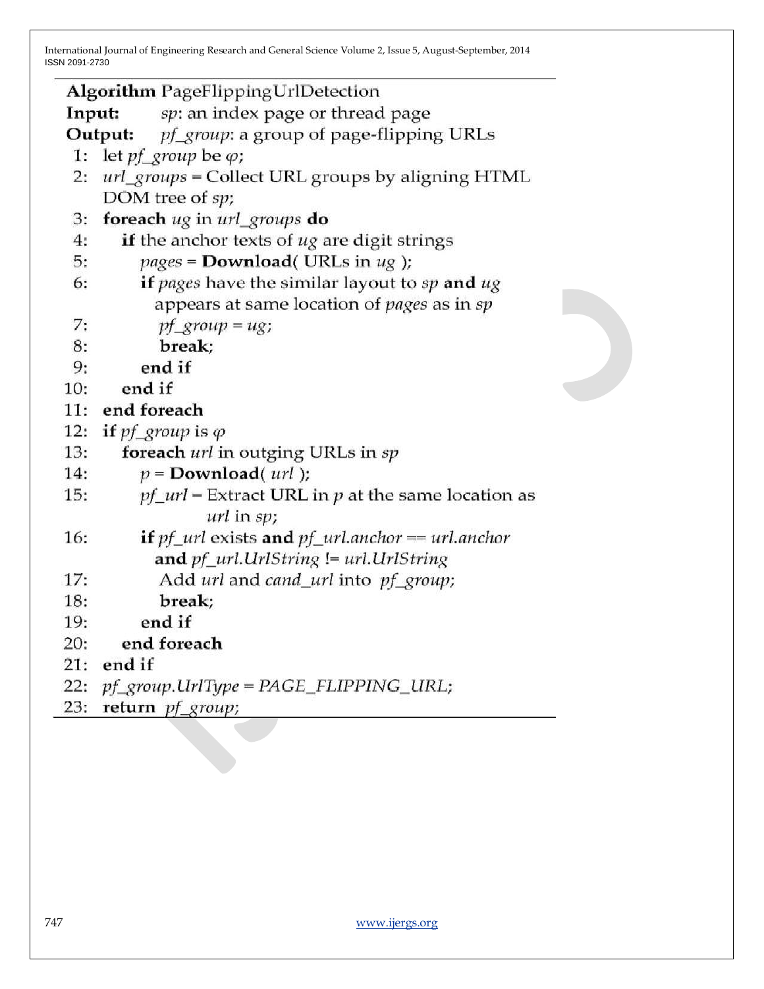| Algorithm PageFlippingUrlDetection                                                                                         |  |  |  |  |  |  |  |
|----------------------------------------------------------------------------------------------------------------------------|--|--|--|--|--|--|--|
| sp: an index page or thread page<br>Input:                                                                                 |  |  |  |  |  |  |  |
| pf_group: a group of page-flipping URLs<br>Output:                                                                         |  |  |  |  |  |  |  |
| 1: let $pf\_group$ be $\varphi$ ;                                                                                          |  |  |  |  |  |  |  |
| url_groups = Collect URL groups by aligning HTML<br>2:                                                                     |  |  |  |  |  |  |  |
| DOM tree of sp;                                                                                                            |  |  |  |  |  |  |  |
| foreach ug in url_groups do<br>3:                                                                                          |  |  |  |  |  |  |  |
| 4:<br>if the anchor texts of ug are digit strings                                                                          |  |  |  |  |  |  |  |
| $pages = Download( URLs in ug);$<br>5:                                                                                     |  |  |  |  |  |  |  |
| if pages have the similar layout to sp and ug<br>6:                                                                        |  |  |  |  |  |  |  |
| appears at same location of <i>pages</i> as in sp                                                                          |  |  |  |  |  |  |  |
| 7:<br>$pf\_group = ug;$                                                                                                    |  |  |  |  |  |  |  |
| 8:<br>break;                                                                                                               |  |  |  |  |  |  |  |
| end if<br>9:                                                                                                               |  |  |  |  |  |  |  |
| 10:<br>end if                                                                                                              |  |  |  |  |  |  |  |
| 11:<br>end foreach                                                                                                         |  |  |  |  |  |  |  |
| 12:<br>if pf group is $\varphi$                                                                                            |  |  |  |  |  |  |  |
| 13:<br>foreach url in outging URLs in sp                                                                                   |  |  |  |  |  |  |  |
| 14:<br>$p =$ <b>Download</b> ( $url$ );                                                                                    |  |  |  |  |  |  |  |
| $pf\_url =$ Extract URL in $p$ at the same location as<br>15:                                                              |  |  |  |  |  |  |  |
| $url$ in $sp$ ;                                                                                                            |  |  |  |  |  |  |  |
| <b>if</b> $pf$ <sub><i>url</i></sub> exists <b>and</b> $pf$ <i><sub><i>url.anchor</i> = <i>url.anchor</i></sub></i><br>16: |  |  |  |  |  |  |  |
| and pf_url.UrlString != url.UrlString                                                                                      |  |  |  |  |  |  |  |
| Add url and cand_url into pf_group;<br>17:                                                                                 |  |  |  |  |  |  |  |
| 18:<br>break;                                                                                                              |  |  |  |  |  |  |  |
| end if<br>19:                                                                                                              |  |  |  |  |  |  |  |
| end foreach<br>20:                                                                                                         |  |  |  |  |  |  |  |
| end if<br>21:                                                                                                              |  |  |  |  |  |  |  |
| $pf\_group$ .UrlType = $PAGE\_FLIPPING\_URL;$<br>22:                                                                       |  |  |  |  |  |  |  |
| return pf_group;<br>23:                                                                                                    |  |  |  |  |  |  |  |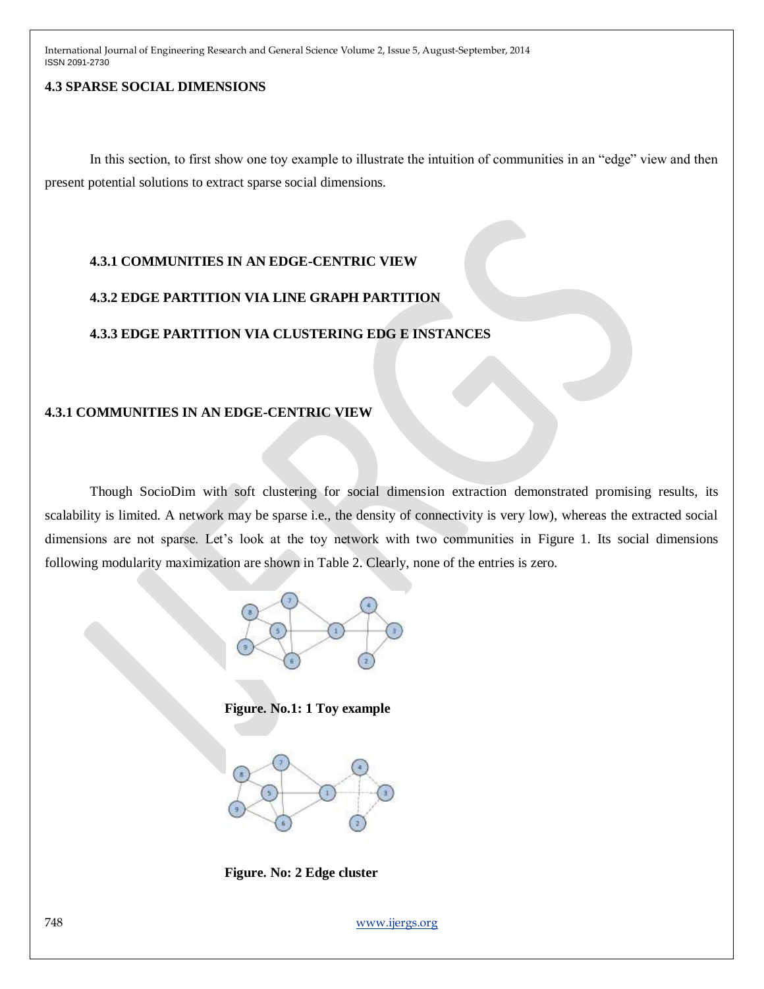# **4.3 SPARSE SOCIAL DIMENSIONS**

In this section, to first show one toy example to illustrate the intuition of communities in an "edge" view and then present potential solutions to extract sparse social dimensions.

# **4.3.1 COMMUNITIES IN AN EDGE-CENTRIC VIEW**

# **4.3.2 EDGE PARTITION VIA LINE GRAPH PARTITION**

# **4.3.3 EDGE PARTITION VIA CLUSTERING EDG E INSTANCES**

# **4.3.1 COMMUNITIES IN AN EDGE-CENTRIC VIEW**

Though SocioDim with soft clustering for social dimension extraction demonstrated promising results, its scalability is limited. A network may be sparse i.e., the density of connectivity is very low), whereas the extracted social dimensions are not sparse. Let's look at the toy network with two communities in Figure 1. Its social dimensions following modularity maximization are shown in Table 2. Clearly, none of the entries is zero.



**Figure. No.1: 1 Toy example**



**Figure. No: 2 Edge cluster**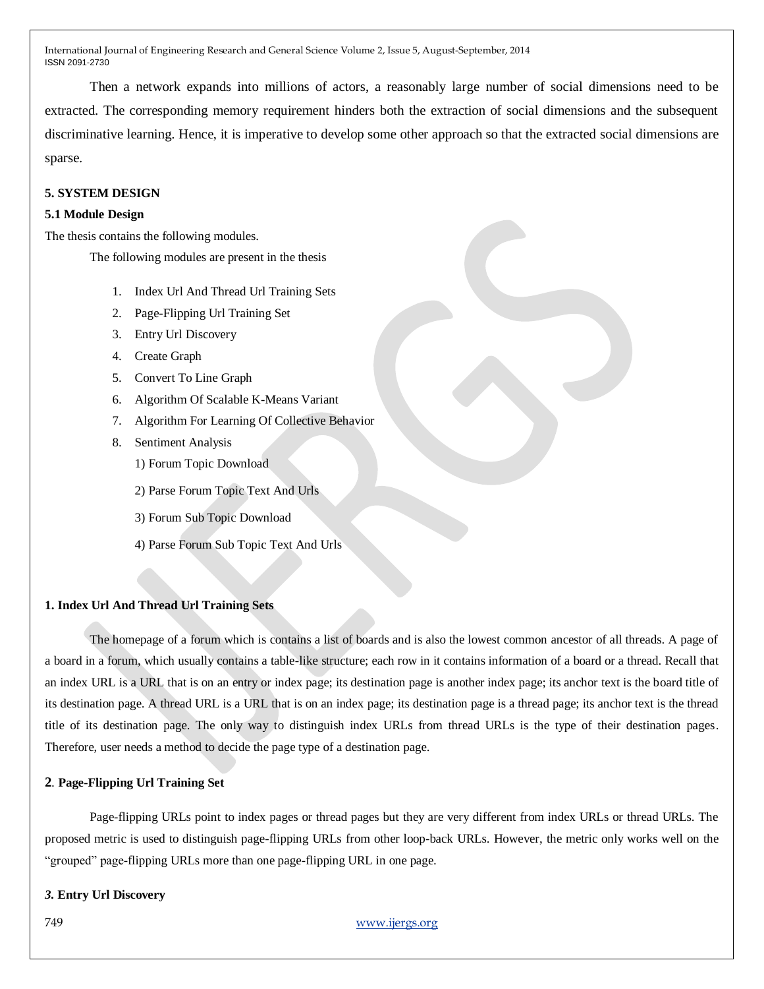Then a network expands into millions of actors, a reasonably large number of social dimensions need to be extracted. The corresponding memory requirement hinders both the extraction of social dimensions and the subsequent discriminative learning. Hence, it is imperative to develop some other approach so that the extracted social dimensions are sparse.

### **5. SYSTEM DESIGN**

#### **5.1 Module Design**

The thesis contains the following modules.

The following modules are present in the thesis

- 1. Index Url And Thread Url Training Sets
- 2. Page-Flipping Url Training Set
- 3. Entry Url Discovery
- 4. Create Graph
- 5. Convert To Line Graph
- 6. Algorithm Of Scalable K-Means Variant
- 7. Algorithm For Learning Of Collective Behavior
- 8. Sentiment Analysis
	- 1) Forum Topic Download
	- 2) Parse Forum Topic Text And Urls
	- 3) Forum Sub Topic Download
	- 4) Parse Forum Sub Topic Text And Urls

## **1. Index Url And Thread Url Training Sets**

The homepage of a forum which is contains a list of boards and is also the lowest common ancestor of all threads. A page of a board in a forum, which usually contains a table-like structure; each row in it contains information of a board or a thread. Recall that an index URL is a URL that is on an entry or index page; its destination page is another index page; its anchor text is the board title of its destination page. A thread URL is a URL that is on an index page; its destination page is a thread page; its anchor text is the thread title of its destination page. The only way to distinguish index URLs from thread URLs is the type of their destination pages. Therefore, user needs a method to decide the page type of a destination page.

### **2***.* **Page-Flipping Url Training Set**

Page-flipping URLs point to index pages or thread pages but they are very different from index URLs or thread URLs. The proposed metric is used to distinguish page-flipping URLs from other loop-back URLs. However, the metric only works well on the "grouped" page-flipping URLs more than one page-flipping URL in one page.

#### *3.* **Entry Url Discovery**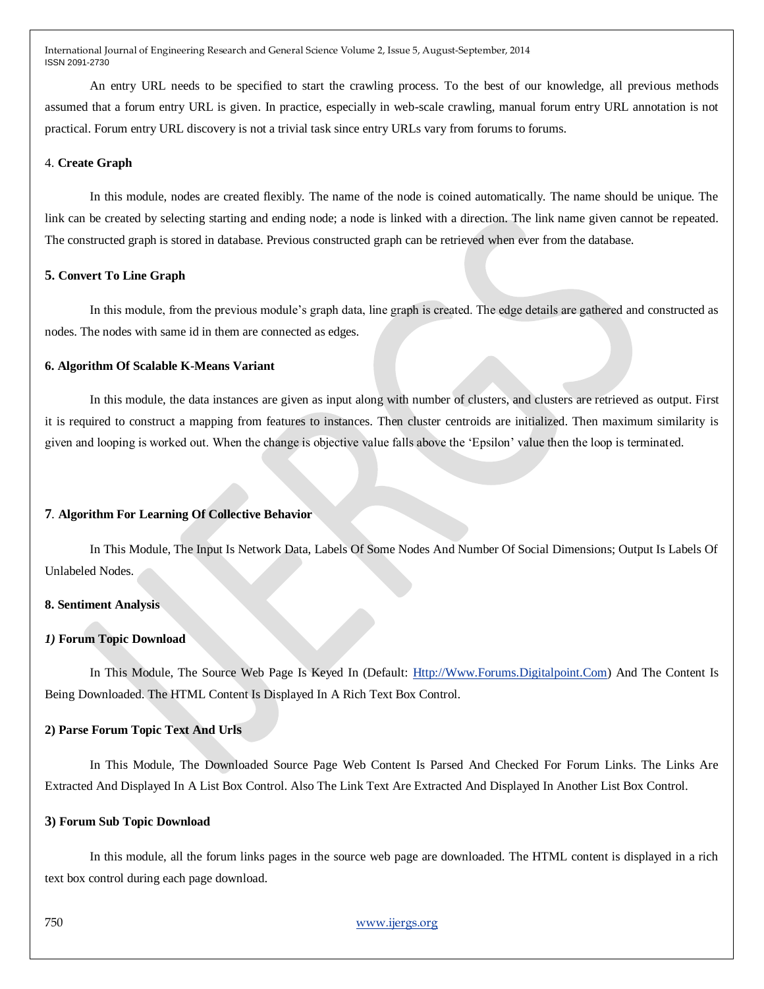An entry URL needs to be specified to start the crawling process. To the best of our knowledge, all previous methods assumed that a forum entry URL is given. In practice, especially in web-scale crawling, manual forum entry URL annotation is not practical. Forum entry URL discovery is not a trivial task since entry URLs vary from forums to forums.

### 4. **Create Graph**

In this module, nodes are created flexibly. The name of the node is coined automatically. The name should be unique. The link can be created by selecting starting and ending node; a node is linked with a direction. The link name given cannot be repeated. The constructed graph is stored in database. Previous constructed graph can be retrieved when ever from the database.

#### **5. Convert To Line Graph**

In this module, from the previous module"s graph data, line graph is created. The edge details are gathered and constructed as nodes. The nodes with same id in them are connected as edges.

#### **6. Algorithm Of Scalable K-Means Variant**

In this module, the data instances are given as input along with number of clusters, and clusters are retrieved as output. First it is required to construct a mapping from features to instances. Then cluster centroids are initialized. Then maximum similarity is given and looping is worked out. When the change is objective value falls above the "Epsilon" value then the loop is terminated.

### **7***.* **Algorithm For Learning Of Collective Behavior**

In This Module, The Input Is Network Data, Labels Of Some Nodes And Number Of Social Dimensions; Output Is Labels Of Unlabeled Nodes.

### **8. Sentiment Analysis**

### *1)* **Forum Topic Download**

In This Module, The Source Web Page Is Keyed In (Default: [Http://Www.Forums.Digitalpoint.Com\)](http://www.fourms.digitalpoint.com/) And The Content Is Being Downloaded. The HTML Content Is Displayed In A Rich Text Box Control.

#### **2) Parse Forum Topic Text And Urls**

In This Module, The Downloaded Source Page Web Content Is Parsed And Checked For Forum Links. The Links Are Extracted And Displayed In A List Box Control. Also The Link Text Are Extracted And Displayed In Another List Box Control.

#### **3) Forum Sub Topic Download**

In this module, all the forum links pages in the source web page are downloaded. The HTML content is displayed in a rich text box control during each page download.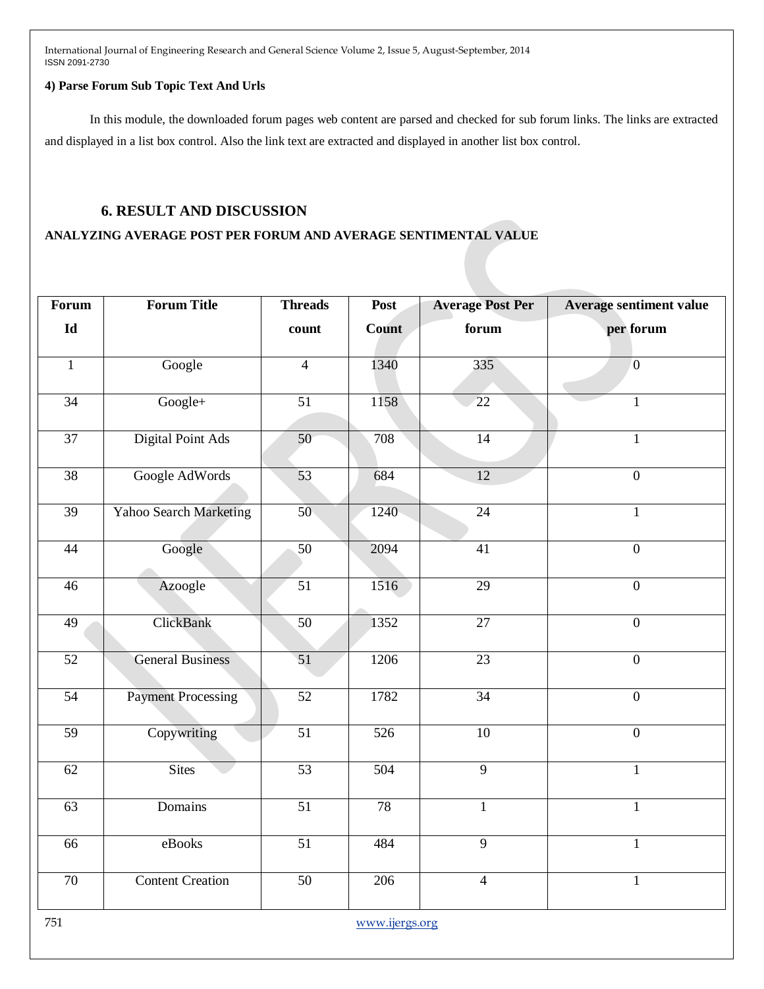### **4) Parse Forum Sub Topic Text And Urls**

In this module, the downloaded forum pages web content are parsed and checked for sub forum links. The links are extracted and displayed in a list box control. Also the link text are extracted and displayed in another list box control.

# **6. RESULT AND DISCUSSION**

## **ANALYZING AVERAGE POST PER FORUM AND AVERAGE SENTIMENTAL VALUE**

| <b>Forum</b>    | <b>Forum Title</b>        | <b>Threads</b>  | Post         | <b>Average Post Per</b> | <b>Average sentiment value</b> |
|-----------------|---------------------------|-----------------|--------------|-------------------------|--------------------------------|
| Id              |                           | count           | <b>Count</b> | forum                   | per forum                      |
| $\mathbf{1}$    | Google                    | $\overline{4}$  | 1340         | 335                     | $\overline{0}$                 |
| $\overline{34}$ | Google+                   | $\overline{51}$ | 1158         | $\overline{22}$         | 1                              |
| $\overline{37}$ | <b>Digital Point Ads</b>  | $\overline{50}$ | 708          | $\overline{14}$         | $\mathbf{1}$                   |
| 38              | Google AdWords            | 53              | 684          | $\overline{12}$         | $\overline{0}$                 |
| 39              | Yahoo Search Marketing    | 50 <sub>1</sub> | 1240         | $\overline{24}$         | $\mathbf{1}$                   |
| 44              | Google                    | 50              | 2094         | 41                      | $\overline{0}$                 |
| 46              | Azoogle                   | 51              | 1516         | 29                      | $\boldsymbol{0}$               |
| $\overline{49}$ | ClickBank                 | 50              | 1352         | $\overline{27}$         | $\overline{0}$                 |
| $\overline{52}$ | <b>General Business</b>   | 51              | 1206         | 23                      | $\overline{0}$                 |
| $\overline{54}$ | <b>Payment Processing</b> | $\overline{52}$ | 1782         | $\overline{34}$         | $\overline{0}$                 |
| $\overline{59}$ | Copywriting               | $\overline{51}$ | 526          | 10                      | $\overline{0}$                 |
| 62              | <b>Sites</b>              | $\overline{53}$ | 504          | $\overline{9}$          | $\mathbf{1}$                   |
| 63              | Domains                   | $\overline{51}$ | 78           | $\mathbf{1}$            | $\mathbf{1}$                   |
| 66              | eBooks                    | $\overline{51}$ | 484          | $\overline{9}$          | $\mathbf{1}$                   |
| 70              | <b>Content Creation</b>   | $\overline{50}$ | 206          | $\overline{4}$          | $\mathbf{1}$                   |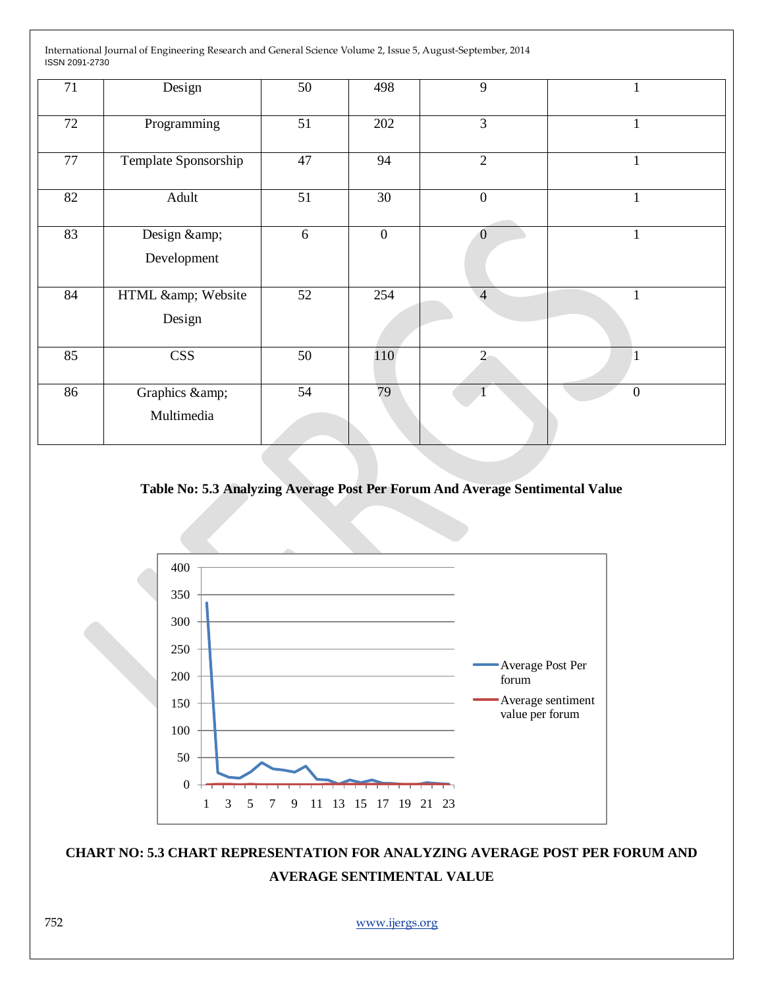| 71 | Design                   | 50 | 498             | 9                |              |
|----|--------------------------|----|-----------------|------------------|--------------|
| 72 | Programming              | 51 | 202             | $\overline{3}$   | $\mathbf{1}$ |
| 77 | Template Sponsorship     | 47 | 94              | $\overline{2}$   | $\mathbf{1}$ |
| 82 | Adult                    | 51 | 30 <sup>7</sup> | $\boldsymbol{0}$ |              |
| 83 | Design &<br>Development  | 6  | $\overline{0}$  | $\overline{0}$   | 1            |
| 84 | HTML & Website<br>Design | 52 | 254             | $\overline{4}$   | 1            |
| 85 | <b>CSS</b>               | 50 | 110             | $\overline{2}$   |              |
| 86 | Graphics &<br>Multimedia | 54 | 79              | 4                | $\mathbf{0}$ |

# **Table No: 5.3 Analyzing Average Post Per Forum And Average Sentimental Value**



# **CHART NO: 5.3 CHART REPRESENTATION FOR ANALYZING AVERAGE POST PER FORUM AND AVERAGE SENTIMENTAL VALUE**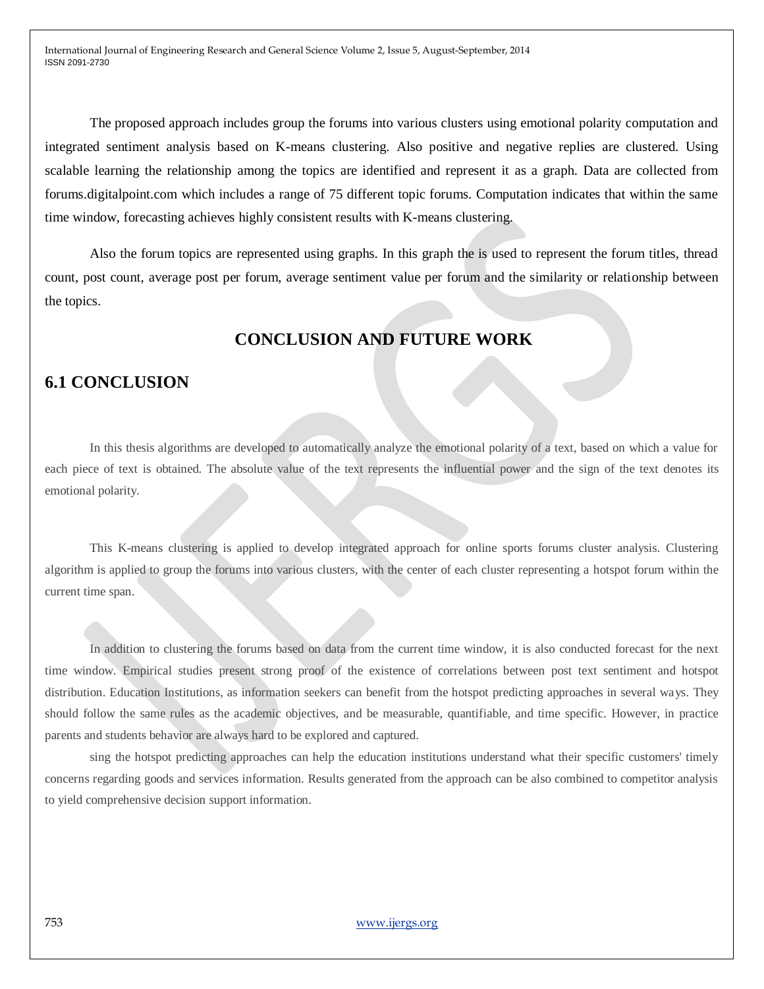The proposed approach includes group the forums into various clusters using emotional polarity computation and integrated sentiment analysis based on K-means clustering. Also positive and negative replies are clustered. Using scalable learning the relationship among the topics are identified and represent it as a graph. Data are collected from forums.digitalpoint.com which includes a range of 75 different topic forums. Computation indicates that within the same time window, forecasting achieves highly consistent results with K-means clustering.

Also the forum topics are represented using graphs. In this graph the is used to represent the forum titles, thread count, post count, average post per forum, average sentiment value per forum and the similarity or relationship between the topics.

# **CONCLUSION AND FUTURE WORK**

# **6.1 CONCLUSION**

In this thesis algorithms are developed to automatically analyze the emotional polarity of a text, based on which a value for each piece of text is obtained. The absolute value of the text represents the influential power and the sign of the text denotes its emotional polarity.

This K-means clustering is applied to develop integrated approach for online sports forums cluster analysis. Clustering algorithm is applied to group the forums into various clusters, with the center of each cluster representing a hotspot forum within the current time span.

In addition to clustering the forums based on data from the current time window, it is also conducted forecast for the next time window. Empirical studies present strong proof of the existence of correlations between post text sentiment and hotspot distribution. Education Institutions, as information seekers can benefit from the hotspot predicting approaches in several ways. They should follow the same rules as the academic objectives, and be measurable, quantifiable, and time specific. However, in practice parents and students behavior are always hard to be explored and captured.

sing the hotspot predicting approaches can help the education institutions understand what their specific customers' timely concerns regarding goods and services information. Results generated from the approach can be also combined to competitor analysis to yield comprehensive decision support information.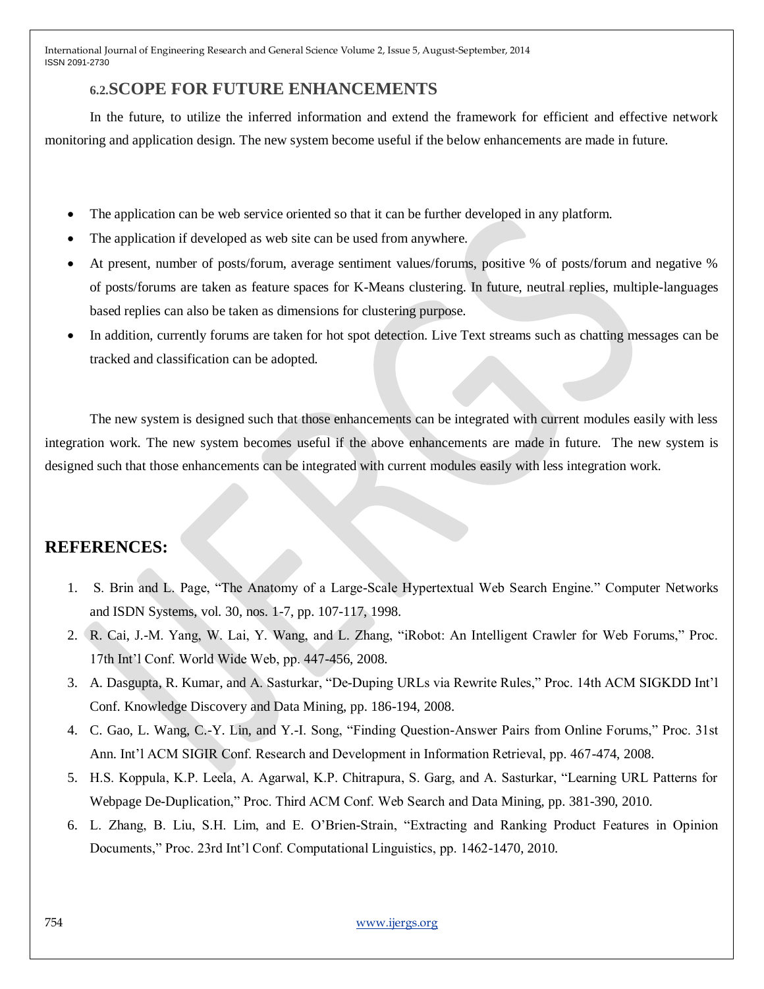# **6.2.SCOPE FOR FUTURE ENHANCEMENTS**

In the future, to utilize the inferred information and extend the framework for efficient and effective network monitoring and application design. The new system become useful if the below enhancements are made in future.

- The application can be web service oriented so that it can be further developed in any platform.
- The application if developed as web site can be used from anywhere.
- At present, number of posts/forum, average sentiment values/forums, positive % of posts/forum and negative % of posts/forums are taken as feature spaces for K-Means clustering. In future, neutral replies, multiple-languages based replies can also be taken as dimensions for clustering purpose.
- In addition, currently forums are taken for hot spot detection. Live Text streams such as chatting messages can be tracked and classification can be adopted.

The new system is designed such that those enhancements can be integrated with current modules easily with less integration work. The new system becomes useful if the above enhancements are made in future. The new system is designed such that those enhancements can be integrated with current modules easily with less integration work.

# **REFERENCES:**

- 1. S. Brin and L. Page, "The Anatomy of a Large-Scale Hypertextual Web Search Engine." Computer Networks and ISDN Systems, vol. 30, nos. 1-7, pp. 107-117, 1998.
- 2. R. Cai, J.-M. Yang, W. Lai, Y. Wang, and L. Zhang, "iRobot: An Intelligent Crawler for Web Forums," Proc. 17th Int"l Conf. World Wide Web, pp. 447-456, 2008.
- 3. A. Dasgupta, R. Kumar, and A. Sasturkar, "De-Duping URLs via Rewrite Rules," Proc. 14th ACM SIGKDD Int"l Conf. Knowledge Discovery and Data Mining, pp. 186-194, 2008.
- 4. C. Gao, L. Wang, C.-Y. Lin, and Y.-I. Song, "Finding Question-Answer Pairs from Online Forums," Proc. 31st Ann. Int"l ACM SIGIR Conf. Research and Development in Information Retrieval, pp. 467-474, 2008.
- 5. H.S. Koppula, K.P. Leela, A. Agarwal, K.P. Chitrapura, S. Garg, and A. Sasturkar, "Learning URL Patterns for Webpage De-Duplication," Proc. Third ACM Conf. Web Search and Data Mining, pp. 381-390, 2010.
- 6. L. Zhang, B. Liu, S.H. Lim, and E. O"Brien-Strain, "Extracting and Ranking Product Features in Opinion Documents," Proc. 23rd Int"l Conf. Computational Linguistics, pp. 1462-1470, 2010.